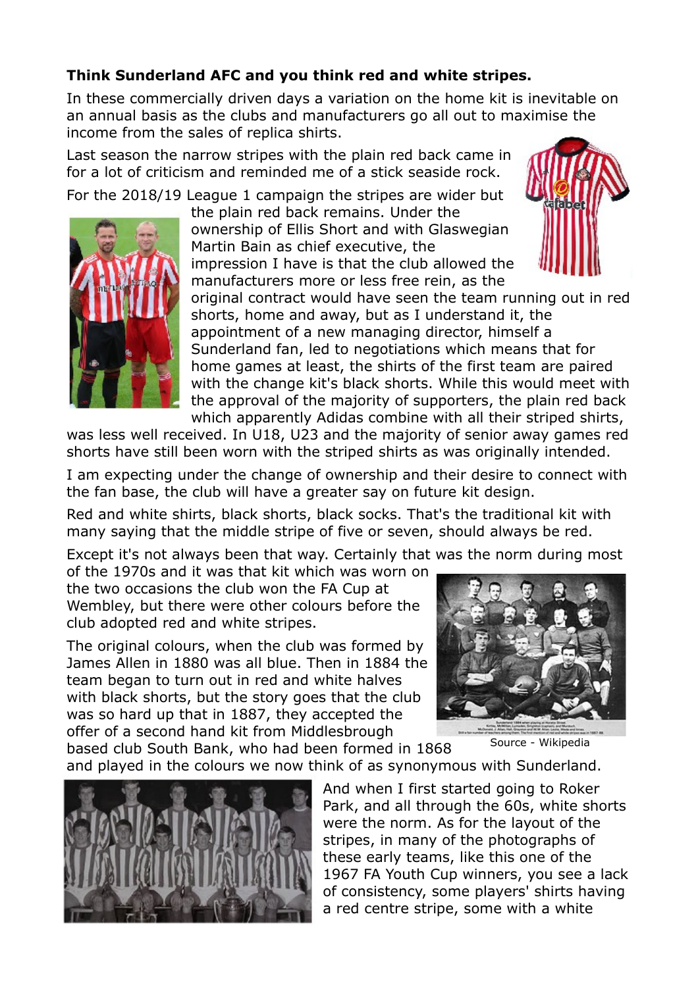## **Think Sunderland AFC and you think red and white stripes.**

In these commercially driven days a variation on the home kit is inevitable on an annual basis as the clubs and manufacturers go all out to maximise the income from the sales of replica shirts.

Last season the narrow stripes with the plain red back came in for a lot of criticism and reminded me of a stick seaside rock.

For the 2018/19 League 1 campaign the stripes are wider but



the plain red back remains. Under the ownership of Ellis Short and with Glaswegian Martin Bain as chief executive, the impression I have is that the club allowed the manufacturers more or less free rein, as the



original contract would have seen the team running out in red shorts, home and away, but as I understand it, the appointment of a new managing director, himself a Sunderland fan, led to negotiations which means that for home games at least, the shirts of the first team are paired with the change kit's black shorts. While this would meet with the approval of the majority of supporters, the plain red back which apparently Adidas combine with all their striped shirts,

was less well received. In U18, U23 and the majority of senior away games red shorts have still been worn with the striped shirts as was originally intended.

I am expecting under the change of ownership and their desire to connect with the fan base, the club will have a greater say on future kit design.

Red and white shirts, black shorts, black socks. That's the traditional kit with many saying that the middle stripe of five or seven, should always be red.

Except it's not always been that way. Certainly that was the norm during most of the 1970s and it was that kit which was worn on

the two occasions the club won the FA Cup at Wembley, but there were other colours before the club adopted red and white stripes.

The original colours, when the club was formed by James Allen in 1880 was all blue. Then in 1884 the team began to turn out in red and white halves with black shorts, but the story goes that the club was so hard up that in 1887, they accepted the offer of a second hand kit from Middlesbrough



Source - Wikipedia

based club South Bank, who had been formed in 1868 and played in the colours we now think of as synonymous with Sunderland.



And when I first started going to Roker Park, and all through the 60s, white shorts were the norm. As for the layout of the stripes, in many of the photographs of these early teams, like this one of the 1967 FA Youth Cup winners, you see a lack of consistency, some players' shirts having a red centre stripe, some with a white